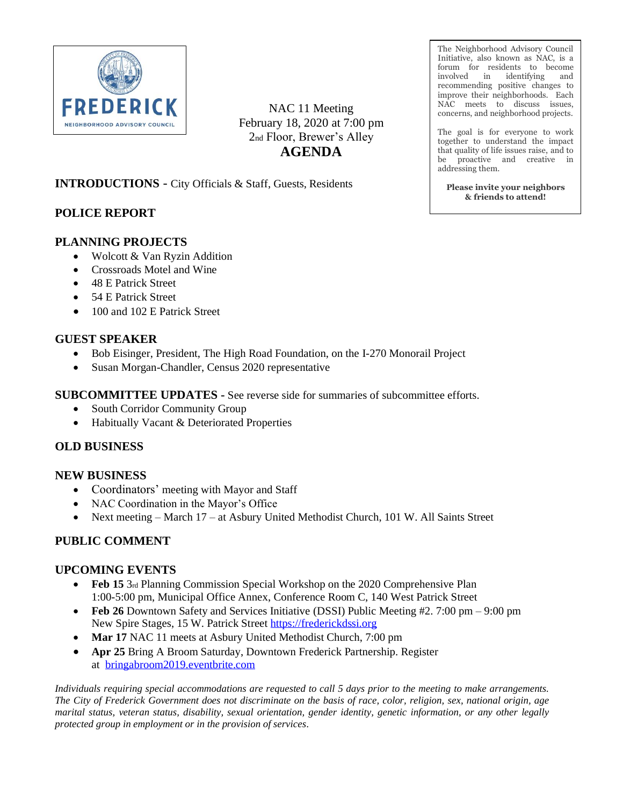

NAC 11 Meeting February 18, 2020 at 7:00 pm 2nd Floor, Brewer's Alley **AGENDA**

**INTRODUCTIONS** - City Officials & Staff, Guests, Residents

# **POLICE REPORT**

## **PLANNING PROJECTS**

- Wolcott & Van Ryzin Addition
- Crossroads Motel and Wine
- 48 E Patrick Street
- 54 E Patrick Street
- 100 and 102 E Patrick Street

#### **GUEST SPEAKER**

- Bob Eisinger, President, The High Road Foundation, on the I-270 Monorail Project
- Susan Morgan-Chandler, Census 2020 representative

**SUBCOMMITTEE UPDATES -** See reverse side for summaries of subcommittee efforts.

- South Corridor Community Group
- Habitually Vacant & Deteriorated Properties

### **OLD BUSINESS**

### **NEW BUSINESS**

- Coordinators' meeting with Mayor and Staff
- NAC Coordination in the Mayor's Office
- Next meeting March 17 at Asbury United Methodist Church, 101 W. All Saints Street

### **PUBLIC COMMENT**

### **UPCOMING EVENTS**

- **Feb 15** 3rd Planning Commission Special Workshop on the 2020 Comprehensive Plan 1:00-5:00 pm, Municipal Office Annex, Conference Room C, 140 West Patrick Street
- **Feb 26** Downtown Safety and Services Initiative (DSSI) Public Meeting #2. 7:00 pm 9:00 pm New Spire Stages, 15 W. Patrick Street [https://frederickdssi.org](https://frederickdssi.org/)
- **Mar 17** NAC 11 meets at Asbury United Methodist Church, 7:00 pm
- **Apr 25** Bring A Broom Saturday, Downtown Frederick Partnership. Register at [bringabroom2019.eventbrite.com](https://www.eventbrite.com/e/bring-a-broom-saturday-2019-tickets-52366872726)

*Individuals requiring special accommodations are requested to call 5 days prior to the meeting to make arrangements. The City of Frederick Government does not discriminate on the basis of race, color, religion, sex, national origin, age marital status, veteran status, disability, sexual orientation, gender identity, genetic information, or any other legally protected group in employment or in the provision of services.*

The Neighborhood Advisory Council Initiative, also known as NAC, is a forum for residents to become involved in identifying and recommending positive changes to improve their neighborhoods. Each NAC meets to discuss issues, concerns, and neighborhood projects.

The goal is for everyone to work together to understand the impact that quality of life issues raise, and to be proactive and creative in addressing them.

**Please invite your neighbors & friends to attend!**